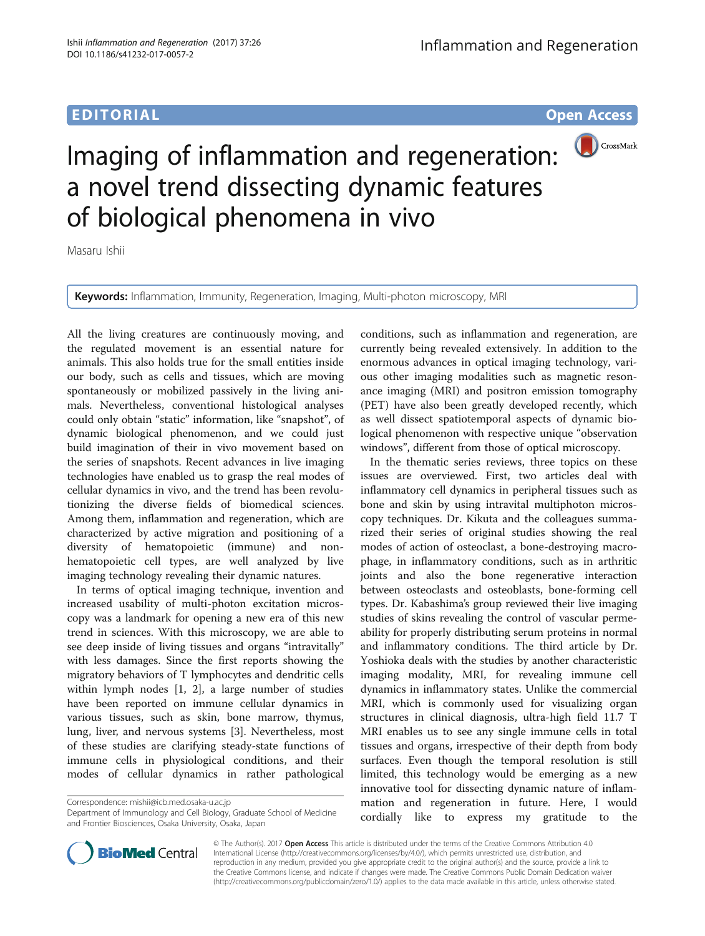## EDITORIAL AND CONTROL CONTROL CONTROL CONTROL CONTROL CONTROL CONTROL CONTROL CONTROL CONTROL CONTROL CONTROL CONTROL CONTROL CONTROL CONTROL CONTROL CONTROL CONTROL CONTROL CONTROL CONTROL CONTROL CONTROL CONTROL CONTROL



# Imaging of inflammation and regeneration: a novel trend dissecting dynamic features of biological phenomena in vivo

Masaru Ishii

Keywords: Inflammation, Immunity, Regeneration, Imaging, Multi-photon microscopy, MRI

All the living creatures are continuously moving, and the regulated movement is an essential nature for animals. This also holds true for the small entities inside our body, such as cells and tissues, which are moving spontaneously or mobilized passively in the living animals. Nevertheless, conventional histological analyses could only obtain "static" information, like "snapshot", of dynamic biological phenomenon, and we could just build imagination of their in vivo movement based on the series of snapshots. Recent advances in live imaging technologies have enabled us to grasp the real modes of cellular dynamics in vivo, and the trend has been revolutionizing the diverse fields of biomedical sciences. Among them, inflammation and regeneration, which are characterized by active migration and positioning of a diversity of hematopoietic (immune) and nonhematopoietic cell types, are well analyzed by live imaging technology revealing their dynamic natures.

In terms of optical imaging technique, invention and increased usability of multi-photon excitation microscopy was a landmark for opening a new era of this new trend in sciences. With this microscopy, we are able to see deep inside of living tissues and organs "intravitally" with less damages. Since the first reports showing the migratory behaviors of T lymphocytes and dendritic cells within lymph nodes [[1](#page-1-0), [2\]](#page-1-0), a large number of studies have been reported on immune cellular dynamics in various tissues, such as skin, bone marrow, thymus, lung, liver, and nervous systems [[3\]](#page-1-0). Nevertheless, most of these studies are clarifying steady-state functions of immune cells in physiological conditions, and their modes of cellular dynamics in rather pathological

Correspondence: [mishii@icb.med.osaka-u.ac.jp](mailto:mishii@icb.med.osaka-u.ac.jp)

Department of Immunology and Cell Biology, Graduate School of Medicine and Frontier Biosciences, Osaka University, Osaka, Japan

conditions, such as inflammation and regeneration, are currently being revealed extensively. In addition to the enormous advances in optical imaging technology, various other imaging modalities such as magnetic resonance imaging (MRI) and positron emission tomography (PET) have also been greatly developed recently, which as well dissect spatiotemporal aspects of dynamic biological phenomenon with respective unique "observation windows", different from those of optical microscopy.

In the thematic series reviews, three topics on these issues are overviewed. First, two articles deal with inflammatory cell dynamics in peripheral tissues such as bone and skin by using intravital multiphoton microscopy techniques. Dr. Kikuta and the colleagues summarized their series of original studies showing the real modes of action of osteoclast, a bone-destroying macrophage, in inflammatory conditions, such as in arthritic joints and also the bone regenerative interaction between osteoclasts and osteoblasts, bone-forming cell types. Dr. Kabashima's group reviewed their live imaging studies of skins revealing the control of vascular permeability for properly distributing serum proteins in normal and inflammatory conditions. The third article by Dr. Yoshioka deals with the studies by another characteristic imaging modality, MRI, for revealing immune cell dynamics in inflammatory states. Unlike the commercial MRI, which is commonly used for visualizing organ structures in clinical diagnosis, ultra-high field 11.7 T MRI enables us to see any single immune cells in total tissues and organs, irrespective of their depth from body surfaces. Even though the temporal resolution is still limited, this technology would be emerging as a new innovative tool for dissecting dynamic nature of inflammation and regeneration in future. Here, I would cordially like to express my gratitude to the



© The Author(s). 2017 **Open Access** This article is distributed under the terms of the Creative Commons Attribution 4.0 International License [\(http://creativecommons.org/licenses/by/4.0/](http://creativecommons.org/licenses/by/4.0/)), which permits unrestricted use, distribution, and reproduction in any medium, provided you give appropriate credit to the original author(s) and the source, provide a link to the Creative Commons license, and indicate if changes were made. The Creative Commons Public Domain Dedication waiver [\(http://creativecommons.org/publicdomain/zero/1.0/](http://creativecommons.org/publicdomain/zero/1.0/)) applies to the data made available in this article, unless otherwise stated.